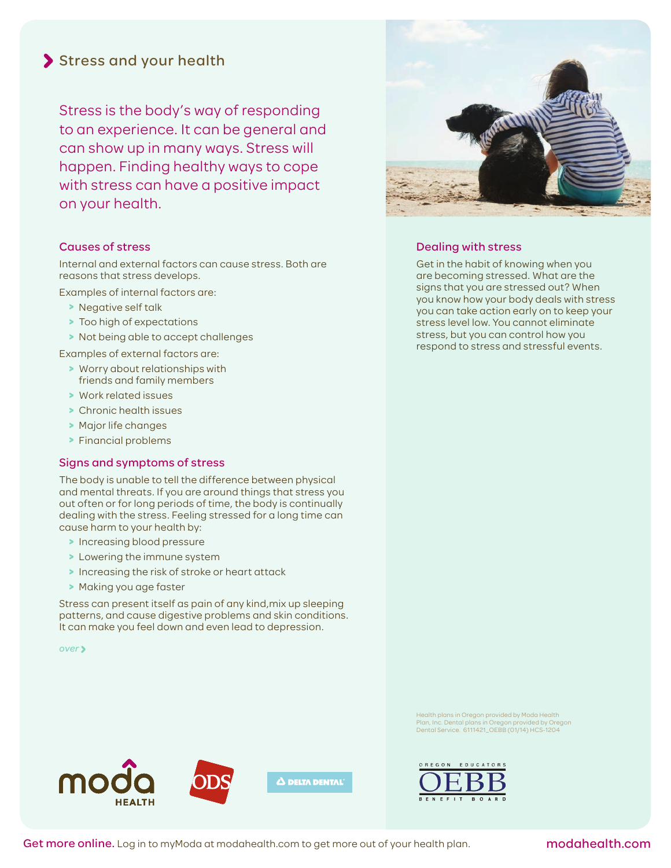# Stress and your health

Stress is the body's way of responding to an experience. It can be general and can show up in many ways. Stress will happen. Finding healthy ways to cope with stress can have a positive impact on your health.

## Causes of stress

Internal and external factors can cause stress. Both are reasons that stress develops.

Examples of internal factors are:

- **>** Negative self talk
- **>** Too high of expectations
- **>** Not being able to accept challenges

Examples of external factors are:

- **>** Worry about relationships with friends and family members
- **>** Work related issues
- **>** Chronic health issues
- **>** Major life changes
- **>** Financial problems

## Signs and symptoms of stress

The body is unable to tell the difference between physical and mental threats. If you are around things that stress you out often or for long periods of time, the body is continually dealing with the stress. Feeling stressed for a long time can cause harm to your health by:

- **>** Increasing blood pressure
- **>** Lowering the immune system
- **>** Increasing the risk of stroke or heart attack
- **>** Making you age faster

Stress can present itself as pain of any kind,mix up sleeping patterns, and cause digestive problems and skin conditions. It can make you feel down and even lead to depression.

*over*



# Dealing with stress

Get in the habit of knowing when you are becoming stressed. What are the signs that you are stressed out? When you know how your body deals with stress you can take action early on to keep your stress level low. You cannot eliminate stress, but you can control how you respond to stress and stressful events.

Health plans in Oregon provided by Moda Health Plan, Inc. Dental plans in Oregon provided by Oregon Dental Service. 6111421\_OEBB (01/14) HCS-1204





Get more online. Log in to myModa at modahealth.com to get more out of your health plan. modahealth.com